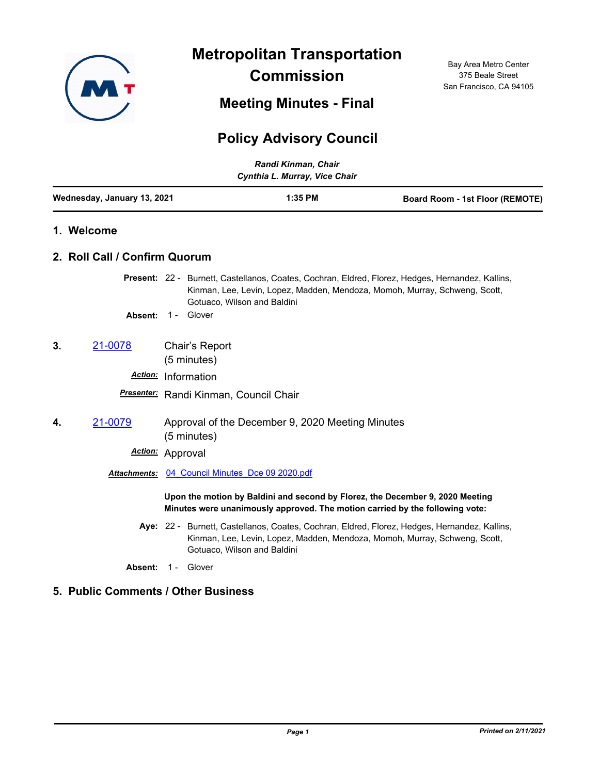

**Metropolitan Transportation Commission**

**Meeting Minutes - Final**

Bay Area Metro Center 375 Beale Street San Francisco, CA 94105

# **Policy Advisory Council**

| Randi Kinman, Chair<br>Cynthia L. Murray, Vice Chair |                               |                                                                                                                                                                                                               |                                        |                                                  |                                        |  |
|------------------------------------------------------|-------------------------------|---------------------------------------------------------------------------------------------------------------------------------------------------------------------------------------------------------------|----------------------------------------|--------------------------------------------------|----------------------------------------|--|
|                                                      | Wednesday, January 13, 2021   |                                                                                                                                                                                                               | $1:35$ PM                              |                                                  | <b>Board Room - 1st Floor (REMOTE)</b> |  |
|                                                      | 1. Welcome                    |                                                                                                                                                                                                               |                                        |                                                  |                                        |  |
|                                                      | 2. Roll Call / Confirm Quorum |                                                                                                                                                                                                               |                                        |                                                  |                                        |  |
|                                                      |                               | Present: 22 - Burnett, Castellanos, Coates, Cochran, Eldred, Florez, Hedges, Hernandez, Kallins,<br>Kinman, Lee, Levin, Lopez, Madden, Mendoza, Momoh, Murray, Schweng, Scott,<br>Gotuaco, Wilson and Baldini |                                        |                                                  |                                        |  |
|                                                      | Absent:                       | 1 - Glover                                                                                                                                                                                                    |                                        |                                                  |                                        |  |
| 3.                                                   | 21-0078                       | Chair's Report<br>(5 minutes)                                                                                                                                                                                 |                                        |                                                  |                                        |  |
|                                                      | <b>Action:</b>                | Information                                                                                                                                                                                                   |                                        |                                                  |                                        |  |
|                                                      |                               |                                                                                                                                                                                                               | Presenter: Randi Kinman, Council Chair |                                                  |                                        |  |
| 4.                                                   | 21-0079                       | (5 minutes)                                                                                                                                                                                                   |                                        | Approval of the December 9, 2020 Meeting Minutes |                                        |  |
|                                                      | Action:                       | Approval                                                                                                                                                                                                      |                                        |                                                  |                                        |  |

*Attachments:* [04\\_Council Minutes\\_Dce 09 2020.pdf](http://mtc.legistar.com/gateway.aspx?M=F&ID=eaa0e60c-103f-49da-a746-b6dcf787842b.pdf)

**Upon the motion by Baldini and second by Florez, the December 9, 2020 Meeting Minutes were unanimously approved. The motion carried by the following vote:**

- Aye: 22 Burnett, Castellanos, Coates, Cochran, Eldred, Florez, Hedges, Hernandez, Kallins, Kinman, Lee, Levin, Lopez, Madden, Mendoza, Momoh, Murray, Schweng, Scott, Gotuaco, Wilson and Baldini
- Absent: 1 Glover

# **5. Public Comments / Other Business**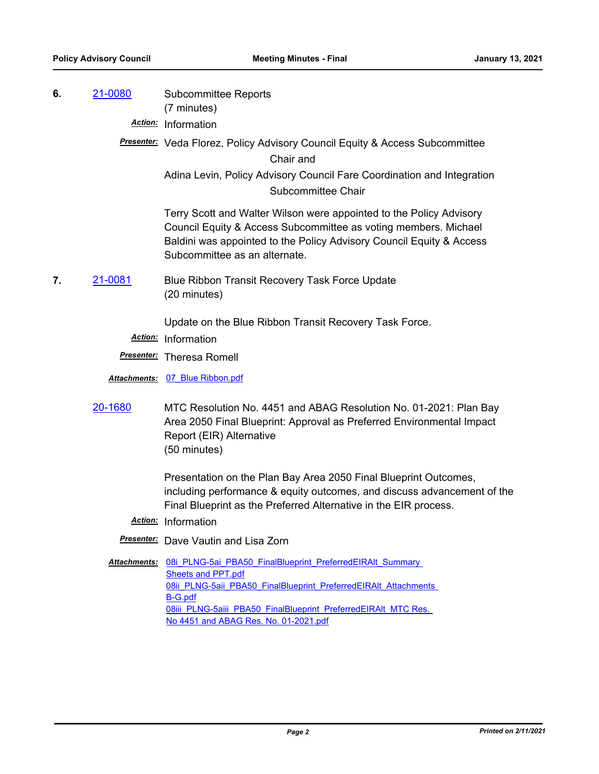**6.** [21-0080](http://mtc.legistar.com/gateway.aspx?m=l&id=/matter.aspx?key=21673) Subcommittee Reports (7 minutes)

*Action:* Information

*Presenter:* Veda Florez, Policy Advisory Council Equity & Access Subcommittee Chair and

> Adina Levin, Policy Advisory Council Fare Coordination and Integration Subcommittee Chair

Terry Scott and Walter Wilson were appointed to the Policy Advisory Council Equity & Access Subcommittee as voting members. Michael Baldini was appointed to the Policy Advisory Council Equity & Access Subcommittee as an alternate.

**7.** [21-0081](http://mtc.legistar.com/gateway.aspx?m=l&id=/matter.aspx?key=21674) Blue Ribbon Transit Recovery Task Force Update (20 minutes)

Update on the Blue Ribbon Transit Recovery Task Force.

*Action:* Information

*Presenter:* Theresa Romell

*Attachments:* [07\\_Blue Ribbon.pdf](http://mtc.legistar.com/gateway.aspx?M=F&ID=555f12eb-4b4a-4d11-b07f-1d44615fc876.pdf)

[20-1680](http://mtc.legistar.com/gateway.aspx?m=l&id=/matter.aspx?key=21545) MTC Resolution No. 4451 and ABAG Resolution No. 01-2021: Plan Bay Area 2050 Final Blueprint: Approval as Preferred Environmental Impact Report (EIR) Alternative (50 minutes)

> Presentation on the Plan Bay Area 2050 Final Blueprint Outcomes, including performance & equity outcomes, and discuss advancement of the Final Blueprint as the Preferred Alternative in the EIR process.

- *Action:* Information
- *Presenter:* Dave Vautin and Lisa Zorn
- Attachments: 08i PLNG-5ai PBA50 FinalBlueprint PreferredEIRAlt Summary **Sheets and PPT.pdf** 08ii\_PLNG-5aii\_PBA50\_FinalBlueprint\_PreferredEIRAlt\_Attachments B-G.pdf 08iii\_PLNG-5aiii\_PBA50\_FinalBlueprint\_PreferredEIRAlt\_MTC Res. No 4451 and ABAG Res. No. 01-2021.pdf